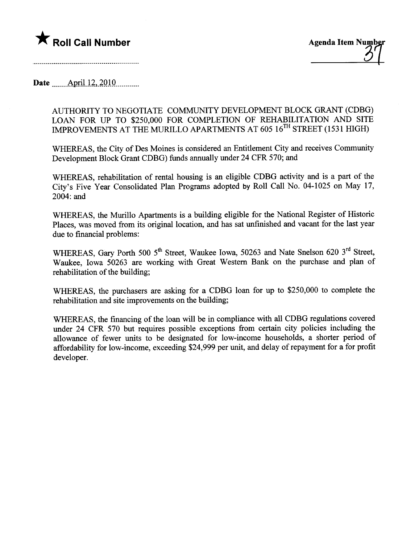

Date  $\text{April }12,2010$ 

AUTHORITY TO NEGOTIATE COMMUNITY DEVELOPMENT BLOCK GRANT (CDBG) LOAN FOR UP TO \$250,000 FOR COMPLETION OF REHABILITATION AND SITE IMPROVEMENTS AT THE MURILLO APARTMENTS AT 605 16TH STREET (1531 HIGH)

WHEREAS, the City of Des Moines is considered an Entitlement City and receives Communty Development Block Grant CDBG) fuds anually under 24 CFR 570; and

WHEREAS, rehabilitation of rental housing is an eligible CDBG activity and is a part of the City's Five Year Consolidated Plan Programs adopted by Roll Call No. 04-1025 on May 17, 2004: and

WHEREAS, the Murillo Apartments is a building eligible for the National Register of Historic Places, was moved from its original location, and has sat unfinished and vacant for the last year due to financial problems:

WHEREAS, Gary Porth 500 5<sup>th</sup> Street, Waukee Iowa, 50263 and Nate Snelson 620 3<sup>rd</sup> Street, Waukee, Iowa 50263 are working with Great Western Bank on the purchase and plan of rehabiltation of the building;

WHEREAS, the purchasers are asking for a CDBG loan for up to \$250,000 to complete the rehabilitation and site improvements on the building;

WHEREAS, the financing of the loan will be in compliance with all CDBG regulations covered under 24 CFR 570 but requires possible exceptions from certain city policies including the allowance of fewer unts to be designated for low-income households, a shorter period of affordabilty for low-income, exceeding \$24,999 per unt, and delay of repayment for a for profit developer.